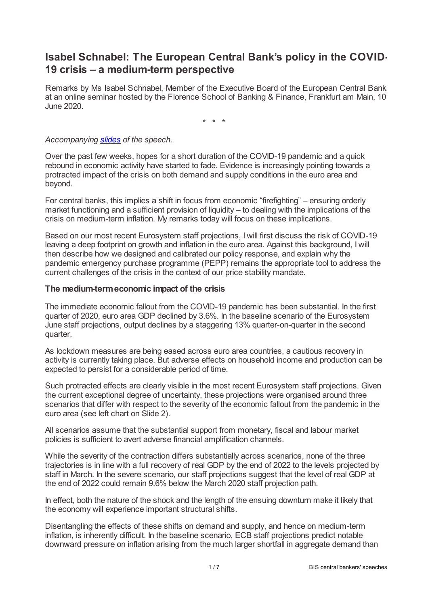# **Isabel Schnabel: The European Central Bank's policy in the COVID-19 crisis – a medium-term perspective**

Remarks by Ms Isabel Schnabel, Member of the Executive Board of the European Central Bank, at an online seminar hosted by the Florence School of Banking & Finance, Frankfurt am Main, 10 June 2020.

\* \* \*

#### *Accompanying [slides](www.bis.org/review/r200611a_slides.pdf) of the speech.*

Over the past few weeks, hopes for a short duration of the COVID-19 pandemic and a quick rebound in economic activity have started to fade. Evidence is increasingly pointing towards a protracted impact of the crisis on both demand and supply conditions in the euro area and beyond.

For central banks, this implies a shift in focus from economic "firefighting" – ensuring orderly market functioning and a sufficient provision of liquidity – to dealing with the implications of the crisis on medium-term inflation. My remarks today will focus on these implications.

Based on our most recent Eurosystem staff projections, I will first discuss the risk of COVID-19 leaving a deep footprint on growth and inflation in the euro area. Against this background, I will then describe how we designed and calibrated our policy response, and explain why the pandemic emergency purchase programme (PEPP) remains the appropriate tool to address the current challenges of the crisis in the context of our price stability mandate.

## **The medium-termeconomic impact of the crisis**

The immediate economic fallout from the COVID-19 pandemic has been substantial. In the first quarter of 2020, euro area GDP declined by 3.6%. In the baseline scenario of the Eurosystem June staff projections, output declines by a staggering 13% quarter-on-quarter in the second quarter.

As lockdown measures are being eased across euro area countries, a cautious recovery in activity is currently taking place. But adverse effects on household income and production can be expected to persist for a considerable period of time.

Such protracted effects are clearly visible in the most recent Eurosystem staff projections. Given the current exceptional degree of uncertainty, these projections were organised around three scenarios that differ with respect to the severity of the economic fallout from the pandemic in the euro area (see left chart on Slide 2).

All scenarios assume that the substantial support from monetary, fiscal and labour market policies is sufficient to avert adverse financial amplification channels.

While the severity of the contraction differs substantially across scenarios, none of the three trajectories is in line with a full recovery of real GDP by the end of 2022 to the levels projected by staff in March. In the severe scenario, our staff projections suggest that the level of real GDP at the end of 2022 could remain 9.6% below the March 2020 staff projection path.

In effect, both the nature of the shock and the length of the ensuing downturn make it likely that the economy will experience important structural shifts.

Disentangling the effects of these shifts on demand and supply, and hence on medium-term inflation, is inherently difficult. In the baseline scenario, ECB staff projections predict notable downward pressure on inflation arising from the much larger shortfall in aggregate demand than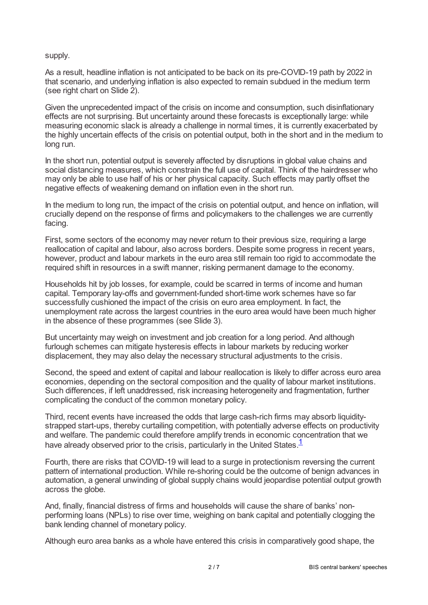### supply.

As a result, headline inflation is not anticipated to be back on its pre-COVID-19 path by 2022 in that scenario, and underlying inflation is also expected to remain subdued in the medium term (see right chart on Slide 2).

Given the unprecedented impact of the crisis on income and consumption, such disinflationary effects are not surprising. But uncertainty around these forecasts is exceptionally large: while measuring economic slack is already a challenge in normal times, it is currently exacerbated by the highly uncertain effects of the crisis on potential output, both in the short and in the medium to long run.

In the short run, potential output is severely affected by disruptions in global value chains and social distancing measures, which constrain the full use of capital. Think of the hairdresser who may only be able to use half of his or her physical capacity. Such effects may partly offset the negative effects of weakening demand on inflation even in the short run.

In the medium to long run, the impact of the crisis on potential output, and hence on inflation, will crucially depend on the response of firms and policymakers to the challenges we are currently facing.

First, some sectors of the economy may never return to their previous size, requiring a large reallocation of capital and labour, also across borders. Despite some progress in recent years, however, product and labour markets in the euro area still remain too rigid to accommodate the required shift in resources in a swift manner, risking permanent damage to the economy.

Households hit by job losses, for example, could be scarred in terms of income and human capital. Temporary lay-offs and government-funded short-time work schemes have so far successfully cushioned the impact of the crisis on euro area employment. In fact, the unemployment rate across the largest countries in the euro area would have been much higher in the absence of these programmes (see Slide 3).

But uncertainty may weigh on investment and job creation for a long period. And although furlough schemes can mitigate hysteresis effects in labour markets by reducing worker displacement, they may also delay the necessary structural adjustments to the crisis.

Second, the speed and extent of capital and labour reallocation is likely to differ across euro area economies, depending on the sectoral composition and the quality of labour market institutions. Such differences, if left unaddressed, risk increasing heterogeneity and fragmentation, further complicating the conduct of the common monetary policy.

Third, recent events have increased the odds that large cash-rich firms may absorb liquiditystrapped start-ups, thereby curtailing competition, with potentially adverse effects on productivity and welfare. The pandemic could therefore amplify trends in economic concentration that we have already observed prior to the crisis, particularly in the United States.<sup>[1](#page-6-0)</sup>

<span id="page-1-0"></span>Fourth, there are risks that COVID-19 will lead to a surge in protectionism reversing the current pattern of international production. While re-shoring could be the outcome of benign advances in automation, a general unwinding of global supply chains would jeopardise potential output growth across the globe.

And, finally, financial distress of firms and households will cause the share of banks' nonperforming loans (NPLs) to rise over time, weighing on bank capital and potentially clogging the bank lending channel of monetary policy.

Although euro area banks as a whole have entered this crisis in comparatively good shape, the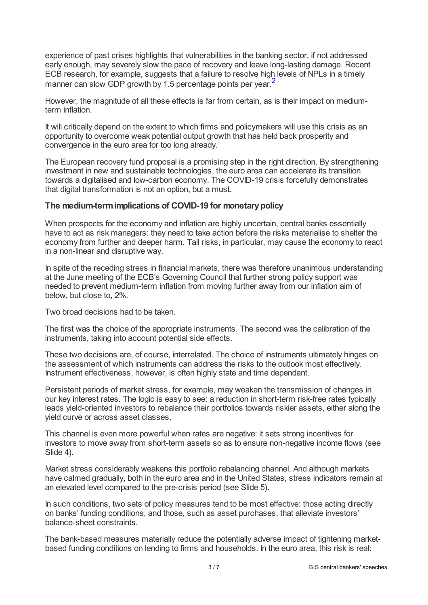experience of past crises highlights that vulnerabilities in the banking sector, if not addressed early enough, may severely slow the pace of recovery and leave long-lasting damage. Recent ECB research, for example, suggests that a failure to resolve high levels of NPLs in a timely manner can slow GDP growth by 1.5 percentage points per year.<sup>[2](#page-6-1)</sup>

<span id="page-2-0"></span>However, the magnitude of all these effects is far from certain, as is their impact on mediumterm inflation.

It will critically depend on the extent to which firms and policymakers will use this crisis as an opportunity to overcome weak potential output growth that has held back prosperity and convergence in the euro area for too long already.

The European recovery fund proposal is a promising step in the right direction. By strengthening investment in new and sustainable technologies, the euro area can accelerate its transition towards a digitalised and low-carbon economy. The COVID-19 crisis forcefully demonstrates that digital transformation is not an option, but a must.

## **The medium-termimplications of COVID-19 for monetarypolicy**

When prospects for the economy and inflation are highly uncertain, central banks essentially have to act as risk managers: they need to take action before the risks materialise to shelter the economy from further and deeper harm. Tail risks, in particular, may cause the economy to react in a non-linear and disruptive way.

In spite of the receding stress in financial markets, there was therefore unanimous understanding at the June meeting of the ECB's Governing Council that further strong policy support was needed to prevent medium-term inflation from moving further away from our inflation aim of below, but close to, 2%.

Two broad decisions had to be taken.

The first was the choice of the appropriate instruments. The second was the calibration of the instruments, taking into account potential side effects.

These two decisions are, of course, interrelated. The choice of instruments ultimately hinges on the assessment of which instruments can address the risks to the outlook most effectively. Instrument effectiveness, however, is often highly state and time dependant.

Persistent periods of market stress, for example, may weaken the transmission of changes in our key interest rates. The logic is easy to see: a reduction in short-term risk-free rates typically leads yield-oriented investors to rebalance their portfolios towards riskier assets, either along the yield curve or across asset classes.

This channel is even more powerful when rates are negative: it sets strong incentives for investors to move away from short-term assets so as to ensure non-negative income flows (see Slide 4).

Market stress considerably weakens this portfolio rebalancing channel. And although markets have calmed gradually, both in the euro area and in the United States, stress indicators remain at an elevated level compared to the pre-crisis period (see Slide 5).

In such conditions, two sets of policy measures tend to be most effective: those acting directly on banks' funding conditions, and those, such as asset purchases, that alleviate investors' balance-sheet constraints.

The bank-based measures materially reduce the potentially adverse impact of tightening marketbased funding conditions on lending to firms and households. In the euro area, this risk is real: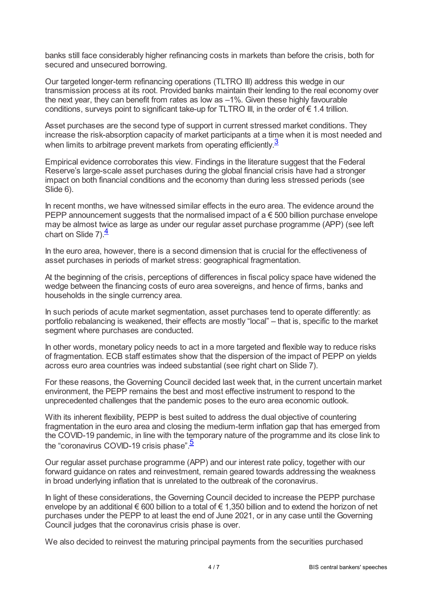banks still face considerably higher refinancing costs in markets than before the crisis, both for secured and unsecured borrowing.

Our targeted longer-term refinancing operations (TLTRO III) address this wedge in our transmission process at its root. Provided banks maintain their lending to the real economy over the next year, they can benefit from rates as low as –1%. Given these highly favourable conditions, surveys point to significant take-up for TLTRO III, in the order of  $\epsilon$  1.4 trillion.

Asset purchases are the second type of support in current stressed market conditions. They increase the risk-absorption capacity of market participants at a time when it is most needed and when limits to arbitrage prevent markets from operating efficiently. $\frac{3}{2}$  $\frac{3}{2}$  $\frac{3}{2}$ 

<span id="page-3-0"></span>Empirical evidence corroborates this view. Findings in the literature suggest that the Federal Reserve's large-scale asset purchases during the global financial crisis have had a stronger impact on both financial conditions and the economy than during less stressed periods (see Slide 6).

In recent months, we have witnessed similar effects in the euro area. The evidence around the PEPP announcement suggests that the normalised impact of  $a \in 500$  billion purchase envelope may be almost twice as large as under our regular asset purchase programme (APP) (see left chart on Slide 7) $\frac{4}{5}$  $\frac{4}{5}$  $\frac{4}{5}$ 

<span id="page-3-1"></span>In the euro area, however, there is a second dimension that is crucial for the effectiveness of asset purchases in periods of market stress: geographical fragmentation.

At the beginning of the crisis, perceptions of differences in fiscal policy space have widened the wedge between the financing costs of euro area sovereigns, and hence of firms, banks and households in the single currency area.

In such periods of acute market segmentation, asset purchases tend to operate differently: as portfolio rebalancing is weakened, their effects are mostly "local" – that is, specific to the market segment where purchases are conducted.

In other words, monetary policy needs to act in a more targeted and flexible way to reduce risks of fragmentation. ECB staff estimates show that the dispersion of the impact of PEPP on yields across euro area countries was indeed substantial (see right chart on Slide 7).

For these reasons, the Governing Council decided last week that, in the current uncertain market environment, the PEPP remains the best and most effective instrument to respond to the unprecedented challenges that the pandemic poses to the euro area economic outlook.

With its inherent flexibility, PEPP is best suited to address the dual objective of countering fragmentation in the euro area and closing the medium-term inflation gap that has emerged from the COVID-19 pandemic, in line with the temporary nature of the programme and its close link to the "coronavirus COVID-19 crisis phase".<sup>[5](#page-6-4)</sup>

<span id="page-3-2"></span>Our regular asset purchase programme (APP) and our interest rate policy, together with our forward guidance on rates and reinvestment, remain geared towards addressing the weakness in broad underlying inflation that is unrelated to the outbreak of the coronavirus.

In light of these considerations, the Governing Council decided to increase the PEPP purchase envelope by an additional € 600 billion to a total of € 1,350 billion and to extend the horizon of net purchases under the PEPP to at least the end of June 2021, or in any case until the Governing Council judges that the coronavirus crisis phase is over.

We also decided to reinvest the maturing principal payments from the securities purchased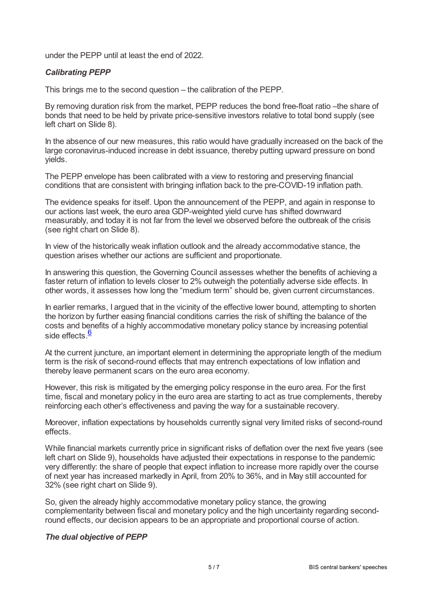under the PEPP until at least the end of 2022.

## *Calibrating PEPP*

This brings me to the second question – the calibration of the PEPP.

By removing duration risk from the market, PEPP reduces the bond free-float ratio –the share of bonds that need to be held by private price-sensitive investors relative to total bond supply (see left chart on Slide 8).

In the absence of our new measures, this ratio would have gradually increased on the back of the large coronavirus-induced increase in debt issuance, thereby putting upward pressure on bond yields.

The PEPP envelope has been calibrated with a view to restoring and preserving financial conditions that are consistent with bringing inflation back to the pre-COVID-19 inflation path.

The evidence speaks for itself. Upon the announcement of the PEPP, and again in response to our actions last week, the euro area GDP-weighted yield curve has shifted downward measurably, and today it is not far from the level we observed before the outbreak of the crisis (see right chart on Slide 8).

In view of the historically weak inflation outlook and the already accommodative stance, the question arises whether our actions are sufficient and proportionate.

In answering this question, the Governing Council assesses whether the benefits of achieving a faster return of inflation to levels closer to 2% outweigh the potentially adverse side effects. In other words, it assesses how long the "medium term" should be, given current circumstances.

In earlier remarks, I argued that in the vicinity of the effective lower bound, attempting to shorten the horizon by further easing financial conditions carries the risk of shifting the balance of the costs and benefits of a highly accommodative monetary policy stance by increasing potential side effects.<sup>[6](#page-6-5)</sup>

<span id="page-4-0"></span>At the current juncture, an important element in determining the appropriate length of the medium term is the risk of second-round effects that may entrench expectations of low inflation and thereby leave permanent scars on the euro area economy.

However, this risk is mitigated by the emerging policy response in the euro area. For the first time, fiscal and monetary policy in the euro area are starting to act as true complements, thereby reinforcing each other's effectiveness and paving the way for a sustainable recovery.

Moreover, inflation expectations by households currently signal very limited risks of second-round effects.

While financial markets currently price in significant risks of deflation over the next five years (see left chart on Slide 9), households have adjusted their expectations in response to the pandemic very differently: the share of people that expect inflation to increase more rapidly over the course of next year has increased markedly in April, from 20% to 36%, and in May still accounted for 32% (see right chart on Slide 9).

So, given the already highly accommodative monetary policy stance, the growing complementarity between fiscal and monetary policy and the high uncertainty regarding secondround effects, our decision appears to be an appropriate and proportional course of action.

## *The dual objective of PEPP*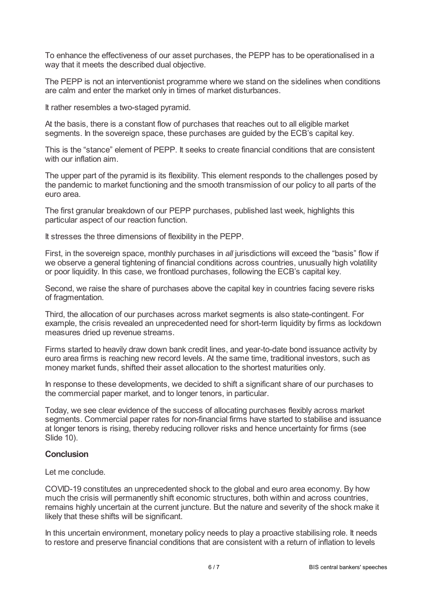To enhance the effectiveness of our asset purchases, the PEPP has to be operationalised in a way that it meets the described dual objective.

The PEPP is not an interventionist programme where we stand on the sidelines when conditions are calm and enter the market only in times of market disturbances.

It rather resembles a two-staged pyramid.

At the basis, there is a constant flow of purchases that reaches out to all eligible market segments. In the sovereign space, these purchases are guided by the ECB's capital key.

This is the "stance" element of PEPP. It seeks to create financial conditions that are consistent with our inflation aim.

The upper part of the pyramid is its flexibility. This element responds to the challenges posed by the pandemic to market functioning and the smooth transmission of our policy to all parts of the euro area.

The first granular breakdown of our PEPP purchases, published last week, highlights this particular aspect of our reaction function.

It stresses the three dimensions of flexibility in the PEPP.

First, in the sovereign space, monthly purchases in *all* jurisdictions will exceed the "basis" flow if we observe a general tightening of financial conditions across countries, unusually high volatility or poor liquidity. In this case, we frontload purchases, following the ECB's capital key.

Second, we raise the share of purchases above the capital key in countries facing severe risks of fragmentation.

Third, the allocation of our purchases across market segments is also state-contingent. For example, the crisis revealed an unprecedented need for short-term liquidity by firms as lockdown measures dried up revenue streams.

Firms started to heavily draw down bank credit lines, and year-to-date bond issuance activity by euro area firms is reaching new record levels. At the same time, traditional investors, such as money market funds, shifted their asset allocation to the shortest maturities only.

In response to these developments, we decided to shift a significant share of our purchases to the commercial paper market, and to longer tenors, in particular.

Today, we see clear evidence of the success of allocating purchases flexibly across market segments. Commercial paper rates for non-financial firms have started to stabilise and issuance at longer tenors is rising, thereby reducing rollover risks and hence uncertainty for firms (see Slide 10).

## **Conclusion**

Let me conclude.

COVID-19 constitutes an unprecedented shock to the global and euro area economy. By how much the crisis will permanently shift economic structures, both within and across countries, remains highly uncertain at the current juncture. But the nature and severity of the shock make it likely that these shifts will be significant.

In this uncertain environment, monetary policy needs to play a proactive stabilising role. It needs to restore and preserve financial conditions that are consistent with a return of inflation to levels